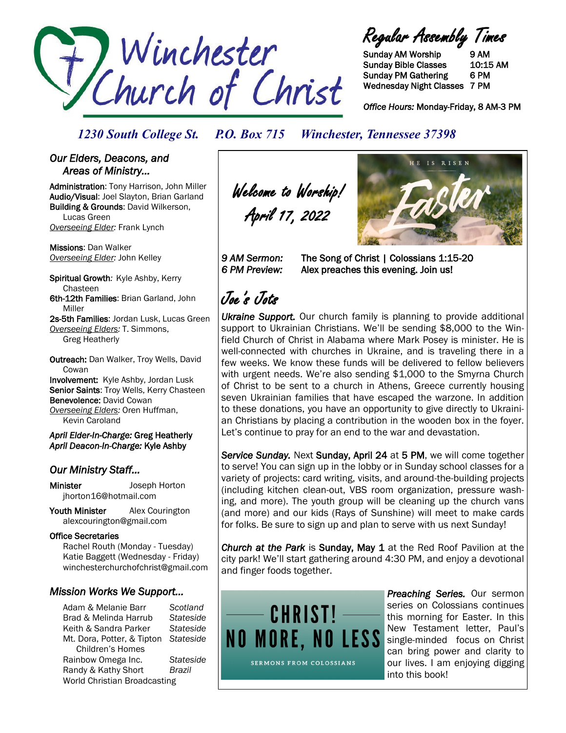

Regular Assembly Times

Sunday AM Worship 9 AM Sunday Bible Classes 10:15 AM Sunday PM Gathering 6 PM Wednesday Night Classes 7 PM

*Office Hours:* Monday-Friday, 8 AM-3 PM

*1230 South College St. P.O. Box 715 Winchester, Tennessee 37398*

### *Our Elders, Deacons, and Areas of Ministry…*

Administration: Tony Harrison, John Miller Audio/Visual: Joel Slayton, Brian Garland Building & Grounds: David Wilkerson, Lucas Green *Overseeing Elder:* Frank Lynch

Missions: Dan Walker *Overseeing Elder:* John Kelley

Spiritual Growth*:* Kyle Ashby, Kerry Chasteen 6th-12th Families: Brian Garland, John Miller

2s-5th Families: Jordan Lusk, Lucas Green *Overseeing Elders:* T. Simmons, Greg Heatherly

Outreach: Dan Walker, Troy Wells, David **Cowan** Involvement: Kyle Ashby, Jordan Lusk Senior Saints: Troy Wells, Kerry Chasteen Benevolence: David Cowan *Overseeing Elders:* Oren Huffman,

Kevin Caroland

*April Elder-In-Charge:* Greg Heatherly *April Deacon-In-Charge:* Kyle Ashby

### *Our Ministry Staff…*

Minister Joseph Horton jhorton16@hotmail.com

Youth Minister Alex Courington alexcourington@gmail.com

#### Office Secretaries

 Rachel Routh (Monday - Tuesday) Katie Baggett (Wednesday - Friday) winchesterchurchofchrist@gmail.com

### *Mission Works We Support…*

Adam & Melanie Barr *Scotland* Brad & Melinda Harrub *Stateside* Keith & Sandra Parker *Stateside* Mt. Dora, Potter, & Tipton *Stateside* Children's Homes Rainbow Omega Inc. *Stateside* Randy & Kathy Short *Brazil* World Christian Broadcasting

Welcome to Worship! April 17, 2022



9 AM Sermon: The Song of Christ | Colossians 1:15-20 *6 PM Preview:* Alex preaches this evening. Join us!

# Joe's Jots

*Ukraine Support.* Our church family is planning to provide additional support to Ukrainian Christians. We'll be sending \$8,000 to the Winfield Church of Christ in Alabama where Mark Posey is minister. He is well-connected with churches in Ukraine, and is traveling there in a few weeks. We know these funds will be delivered to fellow believers with urgent needs. We're also sending \$1,000 to the Smyrna Church of Christ to be sent to a church in Athens, Greece currently housing seven Ukrainian families that have escaped the warzone. In addition to these donations, you have an opportunity to give directly to Ukrainian Christians by placing a contribution in the wooden box in the foyer. Let's continue to pray for an end to the war and devastation.

*Service Sunday.* Next Sunday, April 24 at 5 PM, we will come together to serve! You can sign up in the lobby or in Sunday school classes for a variety of projects: card writing, visits, and around-the-building projects (including kitchen clean-out, VBS room organization, pressure washing, and more). The youth group will be cleaning up the church vans (and more) and our kids (Rays of Sunshine) will meet to make cards for folks. Be sure to sign up and plan to serve with us next Sunday!

*Church at the Park* is Sunday, May 1 at the Red Roof Pavilion at the city park! We'll start gathering around 4:30 PM, and enjoy a devotional and finger foods together.



*Preaching Series.* Our sermon series on Colossians continues this morning for Easter. In this New Testament letter, Paul's single-minded focus on Christ can bring power and clarity to our lives. I am enjoying digging into this book!